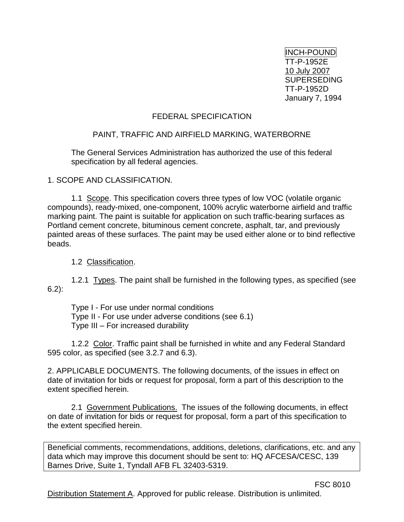INCH-POUND TT-P-1952E 10 July 2007 **SUPERSEDING** TT-P-1952D January 7, 1994

### FEDERAL SPECIFICATION

### PAINT, TRAFFIC AND AIRFIELD MARKING, WATERBORNE

The General Services Administration has authorized the use of this federal specification by all federal agencies.

1. SCOPE AND CLASSIFICATION.

1.1 Scope. This specification covers three types of low VOC (volatile organic compounds), ready-mixed, one-component, 100% acrylic waterborne airfield and traffic marking paint. The paint is suitable for application on such traffic-bearing surfaces as Portland cement concrete, bituminous cement concrete, asphalt, tar, and previously painted areas of these surfaces. The paint may be used either alone or to bind reflective beads.

1.2 Classification.

1.2.1 Types. The paint shall be furnished in the following types, as specified (see 6.2):

Type I - For use under normal conditions Type II - For use under adverse conditions (see 6.1) Type III – For increased durability

1.2.2 Color. Traffic paint shall be furnished in white and any Federal Standard 595 color, as specified (see 3.2.7 and 6.3).

2. APPLICABLE DOCUMENTS. The following documents, of the issues in effect on date of invitation for bids or request for proposal, form a part of this description to the extent specified herein.

2.1 Government Publications. The issues of the following documents, in effect on date of invitation for bids or request for proposal, form a part of this specification to the extent specified herein.

Beneficial comments, recommendations, additions, deletions, clarifications, etc. and any data which may improve this document should be sent to: HQ AFCESA/CESC, 139 Barnes Drive, Suite 1, Tyndall AFB FL 32403-5319.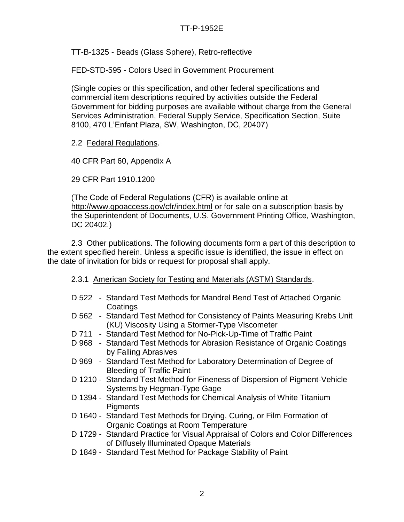## TT-P-1952E

TT-B-1325 - Beads (Glass Sphere), Retro-reflective

FED-STD-595 - Colors Used in Government Procurement

(Single copies or this specification, and other federal specifications and commercial item descriptions required by activities outside the Federal Government for bidding purposes are available without charge from the General Services Administration, Federal Supply Service, Specification Section, Suite 8100, 470 L'Enfant Plaza, SW, Washington, DC, 20407)

2.2 Federal Regulations.

40 CFR Part 60, Appendix A

29 CFR Part 1910.1200

(The Code of Federal Regulations (CFR) is available online at <http://www.gpoaccess.gov/cfr/index.html> or for sale on a subscription basis by the Superintendent of Documents, U.S. Government Printing Office, Washington, DC 20402.)

2.3 Other publications. The following documents form a part of this description to the extent specified herein. Unless a specific issue is identified, the issue in effect on the date of invitation for bids or request for proposal shall apply.

#### 2.3.1 American Society for Testing and Materials (ASTM) Standards.

- D 522 Standard Test Methods for Mandrel Bend Test of Attached Organic **Coatings**
- D 562 Standard Test Method for Consistency of Paints Measuring Krebs Unit (KU) Viscosity Using a Stormer-Type Viscometer
- D 711 Standard Test Method for No-Pick-Up-Time of Traffic Paint
- D 968 Standard Test Methods for Abrasion Resistance of Organic Coatings by Falling Abrasives
- D 969 Standard Test Method for Laboratory Determination of Degree of Bleeding of Traffic Paint
- D 1210 Standard Test Method for Fineness of Dispersion of Pigment-Vehicle Systems by Hegman-Type Gage
- D 1394 Standard Test Methods for Chemical Analysis of White Titanium **Pigments**
- D 1640 Standard Test Methods for Drying, Curing, or Film Formation of Organic Coatings at Room Temperature
- D 1729 Standard Practice for Visual Appraisal of Colors and Color Differences of Diffusely Illuminated Opaque Materials
- D 1849 Standard Test Method for Package Stability of Paint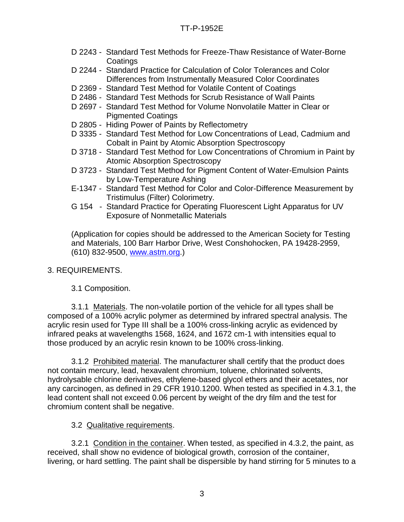- D 2243 Standard Test Methods for Freeze-Thaw Resistance of Water-Borne **Coatings**
- D 2244 Standard Practice for Calculation of Color Tolerances and Color Differences from Instrumentally Measured Color Coordinates
- D 2369 Standard Test Method for Volatile Content of Coatings
- D 2486 Standard Test Methods for Scrub Resistance of Wall Paints
- D 2697 Standard Test Method for Volume Nonvolatile Matter in Clear or Pigmented Coatings
- D 2805 Hiding Power of Paints by Reflectometry
- D 3335 Standard Test Method for Low Concentrations of Lead, Cadmium and Cobalt in Paint by Atomic Absorption Spectroscopy
- D 3718 Standard Test Method for Low Concentrations of Chromium in Paint by Atomic Absorption Spectroscopy
- D 3723 Standard Test Method for Pigment Content of Water-Emulsion Paints by Low-Temperature Ashing
- E-1347 Standard Test Method for Color and Color-Difference Measurement by Tristimulus (Filter) Colorimetry.
- G 154 Standard Practice for Operating Fluorescent Light Apparatus for UV Exposure of Nonmetallic Materials

(Application for copies should be addressed to the American Society for Testing and Materials, 100 Barr Harbor Drive, West Conshohocken, PA 19428-2959, (610) 832-9500, [www.astm.org.](http://www.astm.org/))

# 3. REQUIREMENTS.

3.1 Composition.

3.1.1 Materials. The non-volatile portion of the vehicle for all types shall be composed of a 100% acrylic polymer as determined by infrared spectral analysis. The acrylic resin used for Type III shall be a 100% cross-linking acrylic as evidenced by infrared peaks at wavelengths 1568, 1624, and 1672 cm-1 with intensities equal to those produced by an acrylic resin known to be 100% cross-linking.

3.1.2 Prohibited material. The manufacturer shall certify that the product does not contain mercury, lead, hexavalent chromium, toluene, chlorinated solvents, hydrolysable chlorine derivatives, ethylene-based glycol ethers and their acetates, nor any carcinogen, as defined in 29 CFR 1910.1200. When tested as specified in 4.3.1, the lead content shall not exceed 0.06 percent by weight of the dry film and the test for chromium content shall be negative.

# 3.2 Qualitative requirements.

3.2.1 Condition in the container. When tested, as specified in 4.3.2, the paint, as received, shall show no evidence of biological growth, corrosion of the container, livering, or hard settling. The paint shall be dispersible by hand stirring for 5 minutes to a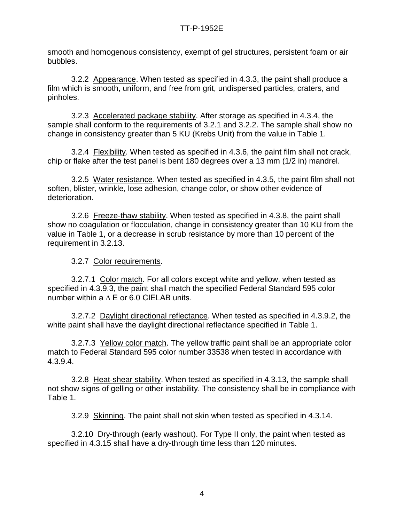smooth and homogenous consistency, exempt of gel structures, persistent foam or air bubbles.

3.2.2 Appearance. When tested as specified in 4.3.3, the paint shall produce a film which is smooth, uniform, and free from grit, undispersed particles, craters, and pinholes.

3.2.3 Accelerated package stability. After storage as specified in 4.3.4, the sample shall conform to the requirements of 3.2.1 and 3.2.2. The sample shall show no change in consistency greater than 5 KU (Krebs Unit) from the value in Table 1.

3.2.4 Flexibility. When tested as specified in 4.3.6, the paint film shall not crack, chip or flake after the test panel is bent 180 degrees over a 13 mm (1/2 in) mandrel.

3.2.5 Water resistance. When tested as specified in 4.3.5, the paint film shall not soften, blister, wrinkle, lose adhesion, change color, or show other evidence of deterioration.

3.2.6 Freeze-thaw stability. When tested as specified in 4.3.8, the paint shall show no coagulation or flocculation, change in consistency greater than 10 KU from the value in Table 1, or a decrease in scrub resistance by more than 10 percent of the requirement in 3.2.13.

3.2.7 Color requirements.

3.2.7.1 Color match. For all colors except white and yellow, when tested as specified in 4.3.9.3, the paint shall match the specified Federal Standard 595 color number within a ∆ E or 6.0 CIELAB units.

3.2.7.2 Daylight directional reflectance. When tested as specified in 4.3.9.2, the white paint shall have the daylight directional reflectance specified in Table 1.

3.2.7.3 Yellow color match. The yellow traffic paint shall be an appropriate color match to Federal Standard 595 color number 33538 when tested in accordance with 4.3.9.4.

3.2.8 Heat-shear stability. When tested as specified in 4.3.13, the sample shall not show signs of gelling or other instability. The consistency shall be in compliance with Table 1.

3.2.9 Skinning. The paint shall not skin when tested as specified in 4.3.14.

3.2.10 Dry-through (early washout). For Type II only, the paint when tested as specified in 4.3.15 shall have a dry-through time less than 120 minutes.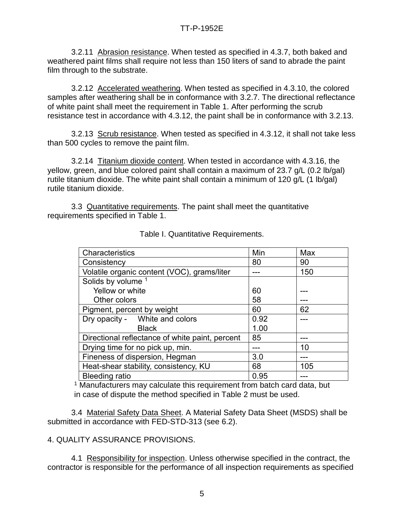3.2.11 Abrasion resistance. When tested as specified in 4.3.7, both baked and weathered paint films shall require not less than 150 liters of sand to abrade the paint film through to the substrate.

3.2.12 Accelerated weathering. When tested as specified in 4.3.10, the colored samples after weathering shall be in conformance with 3.2.7. The directional reflectance of white paint shall meet the requirement in Table 1. After performing the scrub resistance test in accordance with 4.3.12, the paint shall be in conformance with 3.2.13.

3.2.13 Scrub resistance. When tested as specified in 4.3.12, it shall not take less than 500 cycles to remove the paint film.

3.2.14 Titanium dioxide content. When tested in accordance with 4.3.16, the yellow, green, and blue colored paint shall contain a maximum of 23.7 g/L (0.2 lb/gal) rutile titanium dioxide. The white paint shall contain a minimum of 120 g/L (1 lb/gal) rutile titanium dioxide.

3.3 Quantitative requirements. The paint shall meet the quantitative requirements specified in Table 1.

| Characteristics                                 | Min  | Max |
|-------------------------------------------------|------|-----|
| Consistency                                     | 80   | 90  |
| Volatile organic content (VOC), grams/liter     |      | 150 |
| Solids by volume 1                              |      |     |
| Yellow or white                                 | 60   |     |
| Other colors                                    | 58   |     |
| Pigment, percent by weight                      | 60   | 62  |
| Dry opacity - White and colors                  | 0.92 |     |
| <b>Black</b>                                    | 1.00 |     |
| Directional reflectance of white paint, percent | 85   |     |
| Drying time for no pick up, min.                |      | 10  |
| Fineness of dispersion, Hegman                  | 3.0  |     |
| Heat-shear stability, consistency, KU           | 68   | 105 |
| <b>Bleeding ratio</b>                           | 0.95 |     |

Table I. Quantitative Requirements.

<sup>1</sup> Manufacturers may calculate this requirement from batch card data, but in case of dispute the method specified in Table 2 must be used.

3.4 Material Safety Data Sheet. A Material Safety Data Sheet (MSDS) shall be submitted in accordance with FED-STD-313 (see 6.2).

# 4. QUALITY ASSURANCE PROVISIONS.

4.1 Responsibility for inspection. Unless otherwise specified in the contract, the contractor is responsible for the performance of all inspection requirements as specified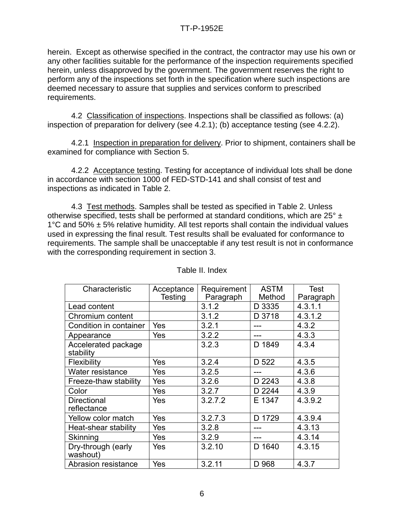herein. Except as otherwise specified in the contract, the contractor may use his own or any other facilities suitable for the performance of the inspection requirements specified herein, unless disapproved by the government. The government reserves the right to perform any of the inspections set forth in the specification where such inspections are deemed necessary to assure that supplies and services conform to prescribed requirements.

4.2 Classification of inspections. Inspections shall be classified as follows: (a) inspection of preparation for delivery (see 4.2.1); (b) acceptance testing (see 4.2.2).

4.2.1 Inspection in preparation for delivery. Prior to shipment, containers shall be examined for compliance with Section 5.

4.2.2 Acceptance testing. Testing for acceptance of individual lots shall be done in accordance with section 1000 of FED-STD-141 and shall consist of test and inspections as indicated in Table 2.

4.3 Test methods. Samples shall be tested as specified in Table 2. Unless otherwise specified, tests shall be performed at standard conditions, which are 25° ± 1 $\degree$ C and 50%  $\pm$  5% relative humidity. All test reports shall contain the individual values used in expressing the final result. Test results shall be evaluated for conformance to requirements. The sample shall be unacceptable if any test result is not in conformance with the corresponding requirement in section 3.

| Characteristic                    | Acceptance<br>Testing | Requirement<br>Paragraph | <b>ASTM</b><br>Method | Test<br>Paragraph |
|-----------------------------------|-----------------------|--------------------------|-----------------------|-------------------|
| Lead content                      |                       | 3.1.2                    | D 3335                | 4.3.1.1           |
| Chromium content                  |                       | 3.1.2                    | D 3718                | 4.3.1.2           |
| Condition in container            | Yes                   | 3.2.1                    |                       | 4.3.2             |
| Appearance                        | Yes                   | 3.2.2                    |                       | 4.3.3             |
| Accelerated package<br>stability  |                       | 3.2.3                    | D 1849                | 4.3.4             |
| Flexibility                       | Yes                   | 3.2.4                    | D 522                 | 4.3.5             |
| Water resistance                  | Yes                   | 3.2.5                    |                       | 4.3.6             |
| Freeze-thaw stability             | Yes                   | 3.2.6                    | D 2243                | 4.3.8             |
| Color                             | Yes                   | 3.2.7                    | D 2244                | 4.3.9             |
| <b>Directional</b><br>reflectance | Yes                   | 3.2.7.2                  | E 1347                | 4.3.9.2           |
| Yellow color match                | Yes                   | 3.2.7.3                  | D 1729                | 4.3.9.4           |
| Heat-shear stability              | Yes                   | 3.2.8                    |                       | 4.3.13            |
| Skinning                          | Yes                   | 3.2.9                    | ---                   | 4.3.14            |
| Dry-through (early<br>washout)    | Yes                   | 3.2.10                   | D 1640                | 4.3.15            |
| Abrasion resistance               | Yes                   | 3.2.11                   | D 968                 | 4.3.7             |

Table II. Index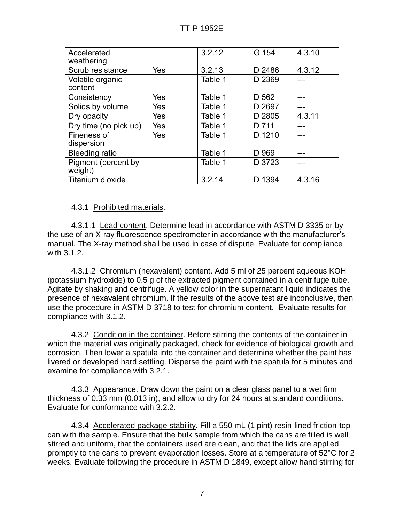| Accelerated<br>weathering      |     | 3.2.12  | G 154  | 4.3.10 |
|--------------------------------|-----|---------|--------|--------|
| Scrub resistance               | Yes | 3.2.13  | D 2486 | 4.3.12 |
| Volatile organic<br>content    |     | Table 1 | D 2369 |        |
| Consistency                    | Yes | Table 1 | D 562  |        |
| Solids by volume               | Yes | Table 1 | D 2697 |        |
| Dry opacity                    | Yes | Table 1 | D 2805 | 4.3.11 |
| Dry time (no pick up)          | Yes | Table 1 | D 711  |        |
| Fineness of<br>dispersion      | Yes | Table 1 | D 1210 |        |
| <b>Bleeding ratio</b>          |     | Table 1 | D 969  |        |
| Pigment (percent by<br>weight) |     | Table 1 | D 3723 |        |
| Titanium dioxide               |     | 3.2.14  | D 1394 | 4.3.16 |

### 4.3.1 Prohibited materials.

4.3.1.1 Lead content. Determine lead in accordance with ASTM D 3335 or by the use of an X-ray fluorescence spectrometer in accordance with the manufacturer's manual. The X-ray method shall be used in case of dispute. Evaluate for compliance with 3.1.2.

4.3.1.2 Chromium (hexavalent) content. Add 5 ml of 25 percent aqueous KOH (potassium hydroxide) to 0.5 g of the extracted pigment contained in a centrifuge tube. Agitate by shaking and centrifuge. A yellow color in the supernatant liquid indicates the presence of hexavalent chromium. If the results of the above test are inconclusive, then use the procedure in ASTM D 3718 to test for chromium content. Evaluate results for compliance with 3.1.2.

4.3.2 Condition in the container. Before stirring the contents of the container in which the material was originally packaged, check for evidence of biological growth and corrosion. Then lower a spatula into the container and determine whether the paint has livered or developed hard settling. Disperse the paint with the spatula for 5 minutes and examine for compliance with 3.2.1.

4.3.3 Appearance. Draw down the paint on a clear glass panel to a wet firm thickness of 0.33 mm (0.013 in), and allow to dry for 24 hours at standard conditions. Evaluate for conformance with 3.2.2.

4.3.4 Accelerated package stability. Fill a 550 mL (1 pint) resin-lined friction-top can with the sample. Ensure that the bulk sample from which the cans are filled is well stirred and uniform, that the containers used are clean, and that the lids are applied promptly to the cans to prevent evaporation losses. Store at a temperature of 52°C for 2 weeks. Evaluate following the procedure in ASTM D 1849, except allow hand stirring for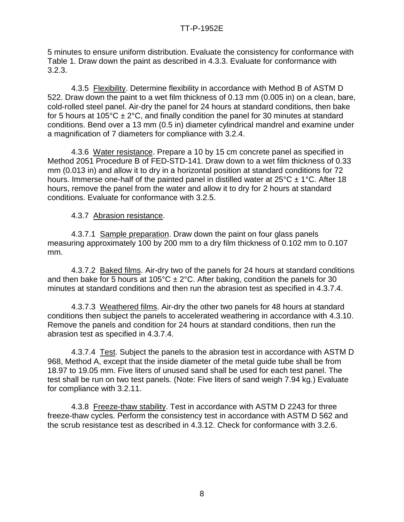5 minutes to ensure uniform distribution. Evaluate the consistency for conformance with Table 1. Draw down the paint as described in 4.3.3. Evaluate for conformance with 3.2.3.

4.3.5 Flexibility. Determine flexibility in accordance with Method B of ASTM D 522. Draw down the paint to a wet film thickness of 0.13 mm (0.005 in) on a clean, bare, cold-rolled steel panel. Air-dry the panel for 24 hours at standard conditions, then bake for 5 hours at 105°C  $\pm$  2°C, and finally condition the panel for 30 minutes at standard conditions. Bend over a 13 mm (0.5 in) diameter cylindrical mandrel and examine under a magnification of 7 diameters for compliance with 3.2.4.

4.3.6 Water resistance. Prepare a 10 by 15 cm concrete panel as specified in Method 2051 Procedure B of FED-STD-141. Draw down to a wet film thickness of 0.33 mm (0.013 in) and allow it to dry in a horizontal position at standard conditions for 72 hours. Immerse one-half of the painted panel in distilled water at  $25^{\circ}$ C  $\pm$  1°C. After 18 hours, remove the panel from the water and allow it to dry for 2 hours at standard conditions. Evaluate for conformance with 3.2.5.

4.3.7 Abrasion resistance.

4.3.7.1 Sample preparation. Draw down the paint on four glass panels measuring approximately 100 by 200 mm to a dry film thickness of 0.102 mm to 0.107 mm.

4.3.7.2 Baked films. Air-dry two of the panels for 24 hours at standard conditions and then bake for 5 hours at 105°C  $\pm 2$ °C. After baking, condition the panels for 30 minutes at standard conditions and then run the abrasion test as specified in 4.3.7.4.

4.3.7.3 Weathered films. Air-dry the other two panels for 48 hours at standard conditions then subject the panels to accelerated weathering in accordance with 4.3.10. Remove the panels and condition for 24 hours at standard conditions, then run the abrasion test as specified in 4.3.7.4.

4.3.7.4 Test. Subject the panels to the abrasion test in accordance with ASTM D 968, Method A, except that the inside diameter of the metal guide tube shall be from 18.97 to 19.05 mm. Five liters of unused sand shall be used for each test panel. The test shall be run on two test panels. (Note: Five liters of sand weigh 7.94 kg.) Evaluate for compliance with 3.2.11.

4.3.8 Freeze-thaw stability. Test in accordance with ASTM D 2243 for three freeze-thaw cycles. Perform the consistency test in accordance with ASTM D 562 and the scrub resistance test as described in 4.3.12. Check for conformance with 3.2.6.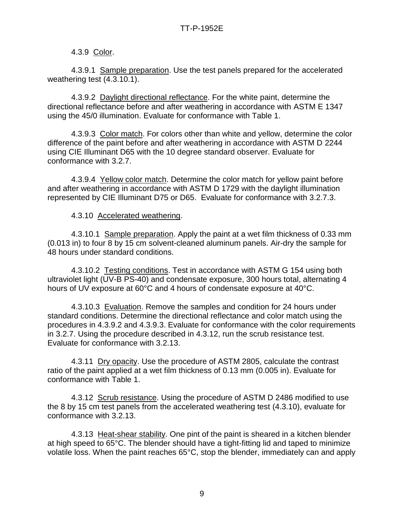## 4.3.9 Color.

4.3.9.1 Sample preparation. Use the test panels prepared for the accelerated weathering test (4.3.10.1).

4.3.9.2 Daylight directional reflectance. For the white paint, determine the directional reflectance before and after weathering in accordance with ASTM E 1347 using the 45/0 illumination. Evaluate for conformance with Table 1.

4.3.9.3 Color match. For colors other than white and yellow, determine the color difference of the paint before and after weathering in accordance with ASTM D 2244 using CIE Illuminant D65 with the 10 degree standard observer. Evaluate for conformance with 3.2.7.

4.3.9.4 Yellow color match. Determine the color match for yellow paint before and after weathering in accordance with ASTM D 1729 with the daylight illumination represented by CIE Illuminant D75 or D65. Evaluate for conformance with 3.2.7.3.

#### 4.3.10 Accelerated weathering.

4.3.10.1 Sample preparation. Apply the paint at a wet film thickness of 0.33 mm (0.013 in) to four 8 by 15 cm solvent-cleaned aluminum panels. Air-dry the sample for 48 hours under standard conditions.

4.3.10.2 Testing conditions. Test in accordance with ASTM G 154 using both ultraviolet light (UV-B PS-40) and condensate exposure, 300 hours total, alternating 4 hours of UV exposure at 60°C and 4 hours of condensate exposure at 40°C.

4.3.10.3 Evaluation. Remove the samples and condition for 24 hours under standard conditions. Determine the directional reflectance and color match using the procedures in 4.3.9.2 and 4.3.9.3. Evaluate for conformance with the color requirements in 3.2.7. Using the procedure described in 4.3.12, run the scrub resistance test. Evaluate for conformance with 3.2.13.

4.3.11 Dry opacity. Use the procedure of ASTM 2805, calculate the contrast ratio of the paint applied at a wet film thickness of 0.13 mm (0.005 in). Evaluate for conformance with Table 1.

4.3.12 Scrub resistance. Using the procedure of ASTM D 2486 modified to use the 8 by 15 cm test panels from the accelerated weathering test (4.3.10), evaluate for conformance with 3.2.13.

4.3.13 Heat-shear stability. One pint of the paint is sheared in a kitchen blender at high speed to 65°C. The blender should have a tight-fitting lid and taped to minimize volatile loss. When the paint reaches 65°C, stop the blender, immediately can and apply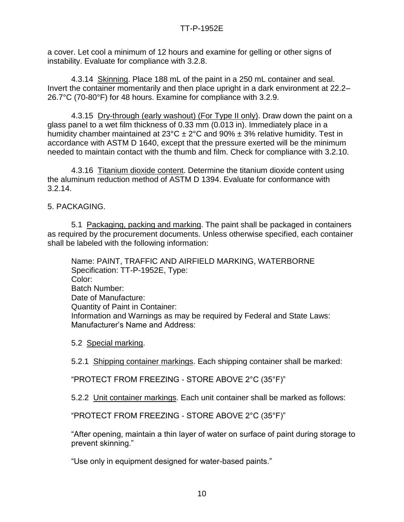a cover. Let cool a minimum of 12 hours and examine for gelling or other signs of instability. Evaluate for compliance with 3.2.8.

4.3.14 Skinning. Place 188 mL of the paint in a 250 mL container and seal. Invert the container momentarily and then place upright in a dark environment at 22.2– 26.7°C (70-80°F) for 48 hours. Examine for compliance with 3.2.9.

4.3.15 Dry-through (early washout) (For Type II only). Draw down the paint on a glass panel to a wet film thickness of 0.33 mm (0.013 in). Immediately place in a humidity chamber maintained at  $23^{\circ}$ C  $\pm$  2°C and 90%  $\pm$  3% relative humidity. Test in accordance with ASTM D 1640, except that the pressure exerted will be the minimum needed to maintain contact with the thumb and film. Check for compliance with 3.2.10.

4.3.16 Titanium dioxide content. Determine the titanium dioxide content using the aluminum reduction method of ASTM D 1394. Evaluate for conformance with 3.2.14.

5. PACKAGING.

5.1 Packaging, packing and marking. The paint shall be packaged in containers as required by the procurement documents. Unless otherwise specified, each container shall be labeled with the following information:

Name: PAINT, TRAFFIC AND AIRFIELD MARKING, WATERBORNE Specification: TT-P-1952E, Type: Color: Batch Number: Date of Manufacture: Quantity of Paint in Container: Information and Warnings as may be required by Federal and State Laws: Manufacturer's Name and Address:

5.2 Special marking.

5.2.1 Shipping container markings. Each shipping container shall be marked:

"PROTECT FROM FREEZING - STORE ABOVE 2°C (35°F)"

5.2.2 Unit container markings. Each unit container shall be marked as follows:

"PROTECT FROM FREEZING - STORE ABOVE 2°C (35°F)"

"After opening, maintain a thin layer of water on surface of paint during storage to prevent skinning."

"Use only in equipment designed for water-based paints."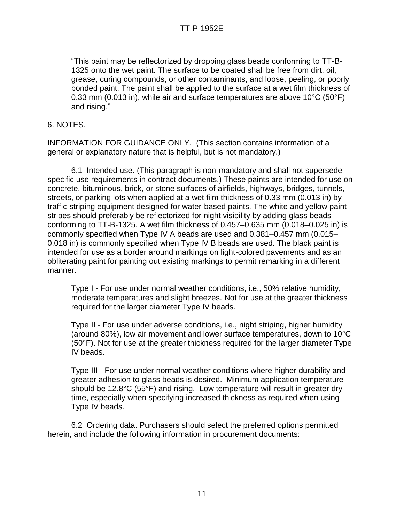"This paint may be reflectorized by dropping glass beads conforming to TT-B-1325 onto the wet paint. The surface to be coated shall be free from dirt, oil, grease, curing compounds, or other contaminants, and loose, peeling, or poorly bonded paint. The paint shall be applied to the surface at a wet film thickness of 0.33 mm (0.013 in), while air and surface temperatures are above 10°C (50°F) and rising."

6. NOTES.

INFORMATION FOR GUIDANCE ONLY. (This section contains information of a general or explanatory nature that is helpful, but is not mandatory.)

6.1 Intended use. (This paragraph is non-mandatory and shall not supersede specific use requirements in contract documents.) These paints are intended for use on concrete, bituminous, brick, or stone surfaces of airfields, highways, bridges, tunnels, streets, or parking lots when applied at a wet film thickness of 0.33 mm (0.013 in) by traffic-striping equipment designed for water-based paints. The white and yellow paint stripes should preferably be reflectorized for night visibility by adding glass beads conforming to TT-B-1325. A wet film thickness of 0.457–0.635 mm (0.018–0.025 in) is commonly specified when Type IV A beads are used and 0.381–0.457 mm (0.015– 0.018 in) is commonly specified when Type IV B beads are used. The black paint is intended for use as a border around markings on light-colored pavements and as an obliterating paint for painting out existing markings to permit remarking in a different manner.

Type I - For use under normal weather conditions, i.e., 50% relative humidity, moderate temperatures and slight breezes. Not for use at the greater thickness required for the larger diameter Type IV beads.

Type II - For use under adverse conditions, i.e., night striping, higher humidity (around 80%), low air movement and lower surface temperatures, down to 10°C (50°F). Not for use at the greater thickness required for the larger diameter Type IV beads.

Type III - For use under normal weather conditions where higher durability and greater adhesion to glass beads is desired. Minimum application temperature should be 12.8°C (55°F) and rising. Low temperature will result in greater dry time, especially when specifying increased thickness as required when using Type IV beads.

6.2 Ordering data. Purchasers should select the preferred options permitted herein, and include the following information in procurement documents: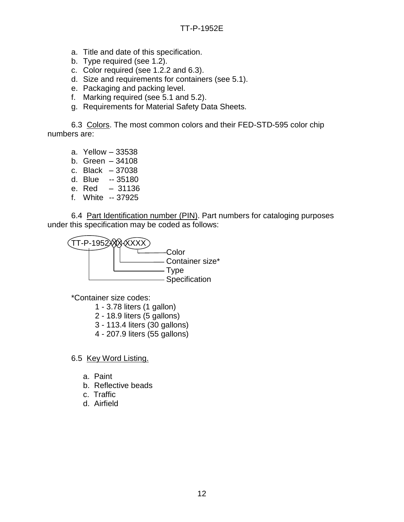- a. Title and date of this specification.
- b. Type required (see 1.2).
- c. Color required (see 1.2.2 and 6.3).
- d. Size and requirements for containers (see 5.1).
- e. Packaging and packing level.
- f. Marking required (see 5.1 and 5.2).
- g. Requirements for Material Safety Data Sheets.

6.3 Colors. The most common colors and their FED-STD-595 color chip numbers are:

- a. Yellow 33538
- b. Green 34108
- c. Black 37038
- d. Blue -- 35180
- e. Red 31136
- f. White -- 37925

6.4 Part Identification number (PIN). Part numbers for cataloging purposes under this specification may be coded as follows:



\*Container size codes:

- 1 3.78 liters (1 gallon)
- 2 18.9 liters (5 gallons)
- 3 113.4 liters (30 gallons)
- 4 207.9 liters (55 gallons)

6.5 Key Word Listing.

- a. Paint
- b. Reflective beads
- c. Traffic
- d. Airfield